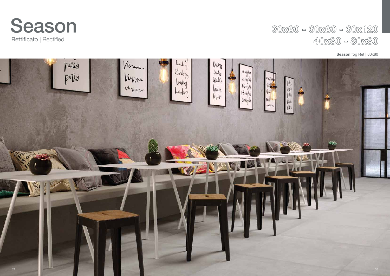### **Season** fog Ret | 80x80





## $30x60 - 60x60 - 60x120$  $40x80 - 80x80$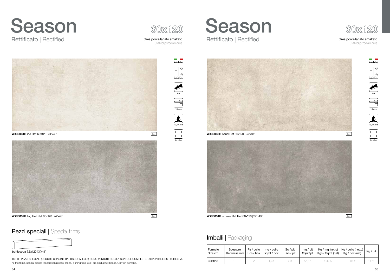



## Imballi | Packaging





#### Gres porcellanato smaltato.

Glazed porcelain gres.

Gres porcellanato smaltato. Glazed porcelain gres.





**Allen III.**<br>Made in Italy



TUTTI I PEZZI SPECIALI (DECORI, GRADINI, BATTISCOPA, ECC.) SONO VENDUTI SOLO A SCATOLE COMPLETE. DISPONIBILE SU RICHIESTA. All the trims, special pieces (decoration pieces, steps, skirting tiles, etc.) are sold at full boxes. Only on demand.



| Formato | Spessore     | Pz / collo | mg / collo | $Sc$ / $plt$ | $mq$ / plt | Kg / mq (netto)  | $ $ Kg / collo (netto) $ $ | $Kg$ / plt |
|---------|--------------|------------|------------|--------------|------------|------------------|----------------------------|------------|
| Size cm | Thickness mm | Pcs / box  | sqmt / box | Bxs / plt    | Samt/plt   | Kgs / Sqmt (net) | Kg / box (net)             |            |
| 50x120  |              |            | .44        | 39           | 56,16      | 20,85            | 30,02                      |            |



## Pezzi speciali | Special trims

### battiscopa 7,5x120 | 3"x48"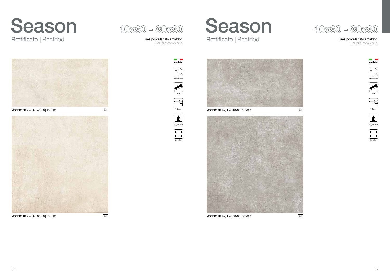











**W.GE016R** ice Ret 40x80 | 15"x30" E5 **W.GE017R** fog Ret 40x80 | 15"x30" E5 10 mm 10 mm







#### Gres porcellanato smaltato.

Glazed porcelain gres.















# Rettificato | Rectified **Rettificato** | Rectified **Rettificato** | Rectified

Gres porcellanato smaltato. Glazed porcelain gres.

# Season 40x80 - 80x80 Season

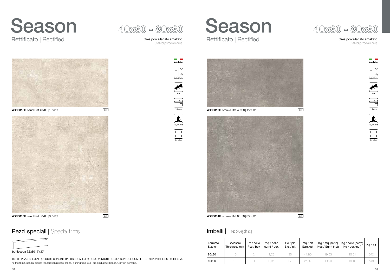

**W.GE013R** sand Ret 80x80 | 30"x30" **E5 E5 E5 W.GE014R** smoke Ret 80x80 | 30"x30"

## Imballi | Packaging

**W.GE018R** sand Ret 40x80 | 15"x30" E5 **W.GE019R** smoke Ret 40x80 | 15"x30" E5 10 mm 10 mm



#### Gres porcellanato smaltato.

Glazed porcelain gres.















# Rettificato | Rectified **Rettificato** | Rectified **Rettificato** | Rectified

Gres porcellanato smaltato. Glazed porcelain gres.

# Season Season





## Pezzi speciali | Special trims

TUTTI I PEZZI SPECIALI (DECORI, GRADINI, BATTISCOPA, ECC.) SONO VENDUTI SOLO A SCATOLE COMPLETE. DISPONIBILE SU RICHIESTA. All the trims, special pieces (decoration pieces, steps, skirting tiles, etc.) are sold at full boxes. Only on demand.



**The Common** 











battiscopa 7,5x80 | 3"x30"

| Formato<br>l Size cm | Spessore<br>Thickness mm | Pz / collo<br>Pcs / box | ma / collo<br>samt / box | $Sc$ / $plt$<br>Bxs / pt | $mq$ / plt<br>Samt/pt | $Kg/mq$ (netto)<br>Kgs / Sqmt (net) | $Kg /$ collo (netto)  <br>Kg / box (net) | $Kg$ / plt |
|----------------------|--------------------------|-------------------------|--------------------------|--------------------------|-----------------------|-------------------------------------|------------------------------------------|------------|
| 80x80                |                          |                         | 1.28                     | 35                       | 44.8C                 | 19.93                               | 25,51                                    | 940        |
| 140x80               |                          |                         | 0.96                     |                          | 25,92                 | 19.9C                               | 19,10                                    | 543        |

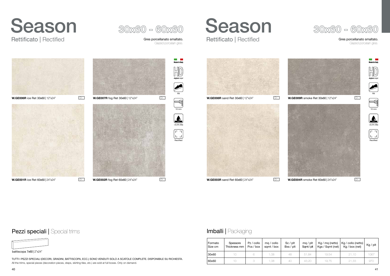

#### Gres porcellanato smaltato.

Glazed porcelain gres.

# Season 30x60 - 60x60 Season<br>Rettificato | Rectified Gres porcellanato smaltato. Rettificato | Rectified

Gres porcellanato smaltato. Glazed porcelain gres.

## Rettificato | Rectified







## Pezzi speciali | Special trims



#### battiscopa 7x60 | 2"x24"

TUTTI I PEZZI SPECIALI (DECORI, GRADINI, BATTISCOPA, ECC.) SONO VENDUTI SOLO A SCATOLE COMPLETE. DISPONIBILE SU RICHIESTA. All the trims, special pieces (decoration pieces, steps, skirting tiles, etc.) are sold at full boxes. Only on demand.

## Imballi | Packaging

| l Formato<br>l Size cm | Spessore<br>Thickness mm | Pz / collo<br>Pcs / box | ma / collo<br>samt / box | $Sc$ / $plt$<br>Bxs / plt | $mq$ / plt<br>Samt/plt | Kg / mq (netto)<br>Kgs / Sqmt (net) | Kg / collo (netto)  <br>Kg / box (net) | Kg / plt |
|------------------------|--------------------------|-------------------------|--------------------------|---------------------------|------------------------|-------------------------------------|----------------------------------------|----------|
| 30x60                  | 10                       |                         | 1.08                     | 48                        | 51.84                  | 19.54                               | 21.10                                  | 1067     |
| 60x60                  | 10                       |                         | 1.08                     | 40                        | 43.20                  | 19.75                               | 21.33                                  | 970      |

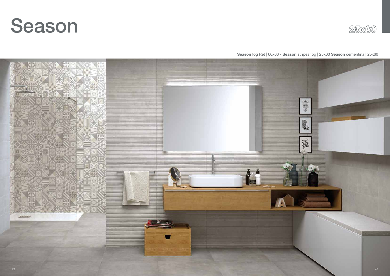### **Season** fog Ret | 60x60 - **Season** stripes fog | 25x60 **Season** cementina | 25x60





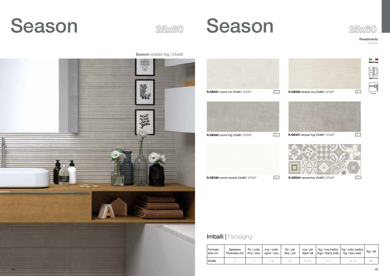### **Season** stripes fog | 25x60













8 mm

**digital** *inkjet*

Made in Ital



Rivestimento Wall tiles



| Formato<br>Size cm | Spessore<br>Thickness mm | Pz / collo<br>Pcs / box | ma / collo<br>samt / box | Sc / <i>plt</i><br>Bxs / plt | ma / plt<br>Samt/plt | $\vert$ Kgs / Sqmt (net) $\vert$ | $Kg$ / mq (netto) $ Kg$ / collo (netto) $ $<br>Kg / box (net) | Kg / plt |
|--------------------|--------------------------|-------------------------|--------------------------|------------------------------|----------------------|----------------------------------|---------------------------------------------------------------|----------|
| 25x60              |                          |                         | ,35                      | 48                           | 64.80                | 14.21                            | 19.18                                                         | 98C      |